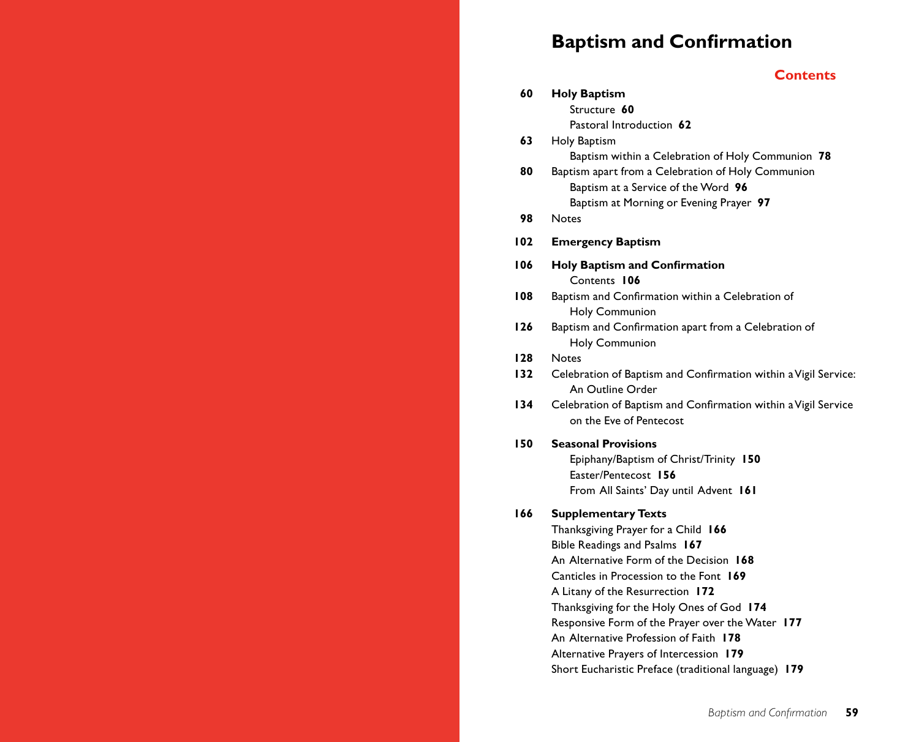# **Baptism and Confirmation**

## **Contents**

|     | Concents                                                                            |  |  |
|-----|-------------------------------------------------------------------------------------|--|--|
| 60  | <b>Holy Baptism</b>                                                                 |  |  |
|     | Structure 60                                                                        |  |  |
|     | Pastoral Introduction 62                                                            |  |  |
| 63  | Holy Baptism                                                                        |  |  |
|     | Baptism within a Celebration of Holy Communion 78                                   |  |  |
| 80  | Baptism apart from a Celebration of Holy Communion                                  |  |  |
|     | Baptism at a Service of the Word 96                                                 |  |  |
|     | Baptism at Morning or Evening Prayer 97                                             |  |  |
| 98  | <b>Notes</b>                                                                        |  |  |
| 102 | <b>Emergency Baptism</b>                                                            |  |  |
| 106 | <b>Holy Baptism and Confirmation</b>                                                |  |  |
|     | Contents 106                                                                        |  |  |
| 108 | Baptism and Confirmation within a Celebration of                                    |  |  |
|     | Holy Communion                                                                      |  |  |
| 126 | Baptism and Confirmation apart from a Celebration of                                |  |  |
|     | Holy Communion                                                                      |  |  |
| 128 | <b>Notes</b>                                                                        |  |  |
| 132 | Celebration of Baptism and Confirmation within a Vigil Service:<br>An Outline Order |  |  |
| 134 | Celebration of Baptism and Confirmation within a Vigil Service                      |  |  |
|     | on the Eve of Pentecost                                                             |  |  |
| 150 | <b>Seasonal Provisions</b>                                                          |  |  |
|     | Epiphany/Baptism of Christ/Trinity 150                                              |  |  |
|     | Easter/Pentecost 156                                                                |  |  |
|     | From All Saints' Day until Advent 161                                               |  |  |
| 166 | <b>Supplementary Texts</b>                                                          |  |  |
|     | Thanksgiving Prayer for a Child 166                                                 |  |  |
|     | Bible Readings and Psalms 167                                                       |  |  |
|     | An Alternative Form of the Decision 168                                             |  |  |
|     | Canticles in Procession to the Font 169                                             |  |  |
|     | A Litany of the Resurrection 172                                                    |  |  |
|     | Thanksgiving for the Holy Ones of God 174                                           |  |  |
|     | Responsive Form of the Prayer over the Water 177                                    |  |  |
|     | An Alternative Profession of Faith 178<br>Alternative Prayers of Intercession 179   |  |  |
|     | Short Eucharistic Preface (traditional language) 179                                |  |  |
|     |                                                                                     |  |  |
|     |                                                                                     |  |  |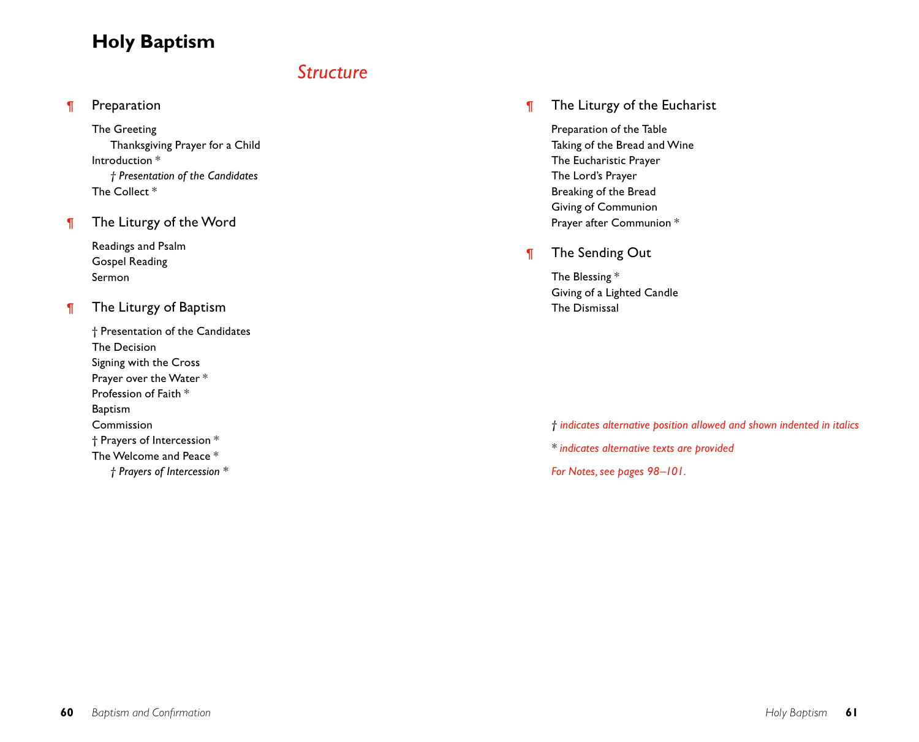# **Holy Baptism**

# *Structure*

### ¶ Preparation

The Greeting Thanksgiving Prayer for a Child Introduction \* *† Presentation of the Candidates* The Collect \*

## ¶ The Liturgy of the Word

Readings and Psalm Gospel Reading Sermon

## **The Liturgy of Baptism**

† Presentation of the Candidates The Decision Signing with the Cross Prayer over the Water \* Profession of Faith \* Baptism Commission † Prayers of Intercession \* The Welcome and Peace \* *† Prayers of Intercession \**

## **The Liturgy of the Eucharist**

Preparation of the Table Taking of the Bread and Wine The Eucharistic Prayer The Lord's Prayer Breaking of the Bread Giving of Communion Prayer after Communion \*

¶ The Sending Out

The Blessing \* Giving of a Lighted Candle The Dismissal

*† indicates alternative position allowed and shown indented in italics \* indicates alternative texts are provided*

*For Notes, see pages 98–101.*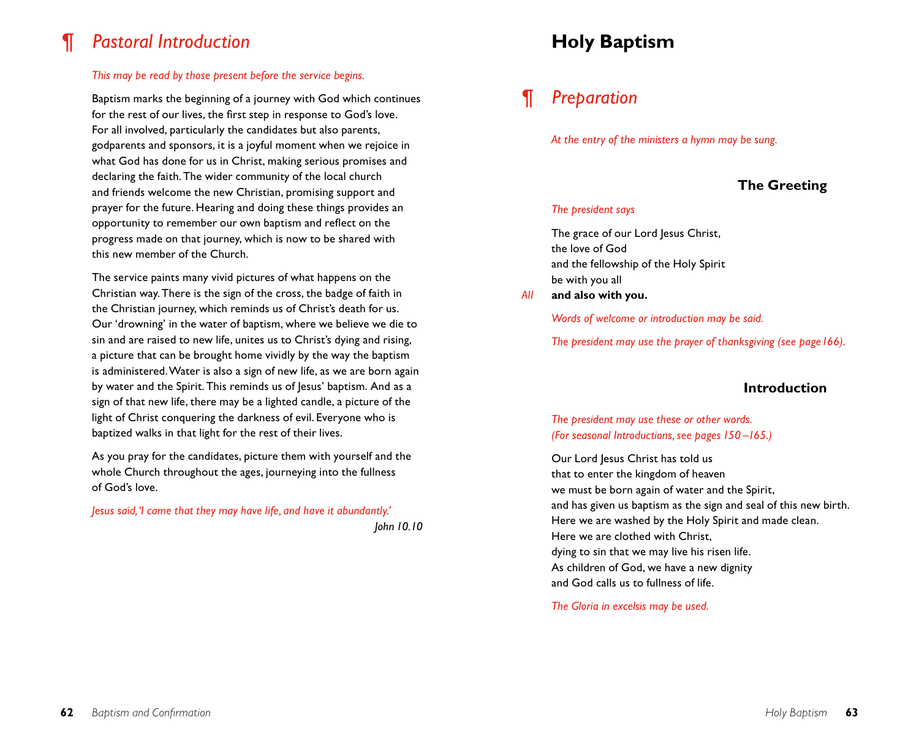# ¶ *Pastoral Introduction*

### *This may be read by those present before the service begins.*

Baptism marks the beginning of a journey with God which continues for the rest of our lives, the first step in response to God's love. For all involved, particularly the candidates but also parents, godparents and sponsors, it is a joyful moment when we rejoice in what God has done for us in Christ, making serious promises and declaring the faith. The wider community of the local church and friends welcome the new Christian, promising support and prayer for the future. Hearing and doing these things provides an opportunity to remember our own baptism and reflect on the progress made on that journey, which is now to be shared with this new member of the Church.

The service paints many vivid pictures of what happens on the Christian way. There is the sign of the cross, the badge of faith in the Christian journey, which reminds us of Christ's death for us. Our 'drowning' in the water of baptism, where we believe we die to sin and are raised to new life, unites us to Christ's dying and rising, a picture that can be brought home vividly by the way the baptism is administered.Water is also a sign of new life, as we are born again by water and the Spirit. This reminds us of Jesus' baptism. And as a sign of that new life, there may be a lighted candle, a picture of the light of Christ conquering the darkness of evil. Everyone who is baptized walks in that light for the rest of their lives.

As you pray for the candidates, picture them with yourself and the whole Church throughout the ages, journeying into the fullness of God's love.

*Jesus said,'I came that they may have life, and have it abundantly.' John 10.10*

# **Holy Baptism**

# ¶ *Preparation*

*At the entry of the ministers a hymn may be sung.*

## **The Greeting**

### *The president says*

The grace of our Lord Jesus Christ, the love of God and the fellowship of the Holy Spirit be with you all

### *All* **and also with you.**

*Words of welcome or introduction may be said.*

*The president may use the prayer of thanksgiving (see page166).*

### **Introduction**

*The president may use these or other words. (For seasonal Introductions,see pages 150 –165.)*

Our Lord Jesus Christ has told us that to enter the kingdom of heaven we must be born again of water and the Spirit, and has given us baptism as the sign and seal of this new birth. Here we are washed by the Holy Spirit and made clean. Here we are clothed with Christ, dying to sin that we may live his risen life. As children of God, we have a new dignity and God calls us to fullness of life.

*The Gloria in excelsis may be used.*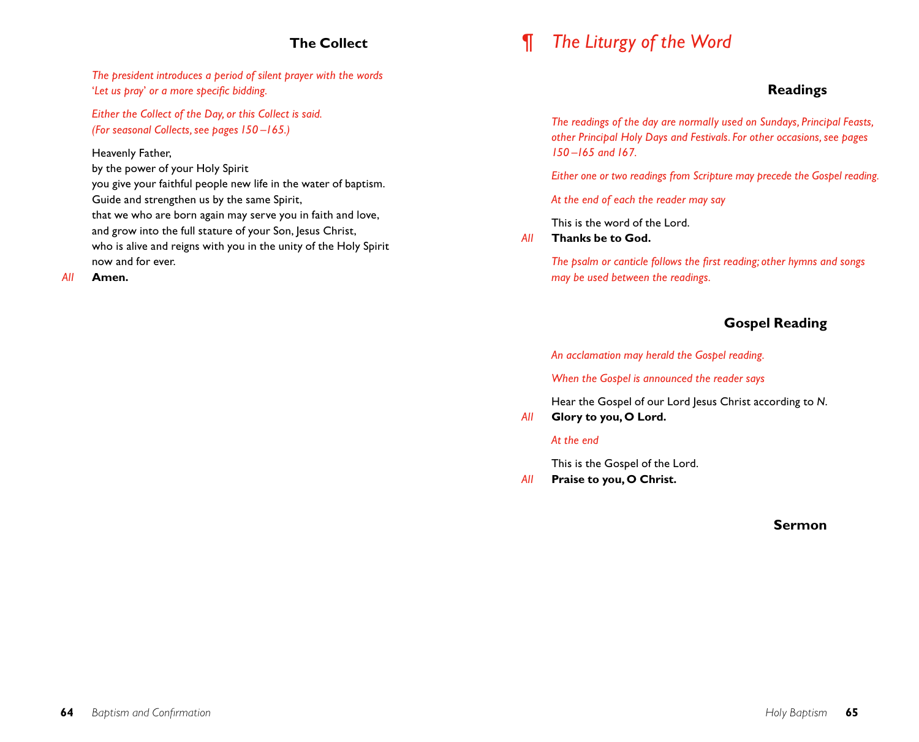# **The Collect**

*The president introduces a period of silent prayer with the words*  '*Let us pray*' *or a more specific bidding.*

*Either the Collect of the Day, or this Collect is said. (For seasonal Collects, see pages 150 –165.)*

Heavenly Father,

by the power of your Holy Spirit you give your faithful people new life in the water of baptism. Guide and strengthen us by the same Spirit, that we who are born again may serve you in faith and love, and grow into the full stature of your Son, Jesus Christ, who is alive and reigns with you in the unity of the Holy Spirit now and for ever.

*All* **Amen.**

# ¶ *The Liturgy of the Word*

# **Readings**

*The readings of the day are normally used on Sundays, Principal Feasts, other Principal Holy Days and Festivals. For other occasions, see pages 150 –165 and 167.*

*Either one or two readings from Scripture may precede the Gospel reading.*

*At the end of each the reader may say* 

This is the word of the Lord.

### *All* **Thanks be to God.**

*The psalm or canticle follows the first reading; other hymns and songs may be used between the readings.*

# **Gospel Reading**

*An acclamation may herald the Gospel reading.*

*When the Gospel is announced the reader says* 

Hear the Gospel of our Lord Jesus Christ according to N.

*All* **Glory to you, O Lord.**

### *At the end*

This is the Gospel of the Lord.

*All* **Praise to you, O Christ.**

### **Sermon**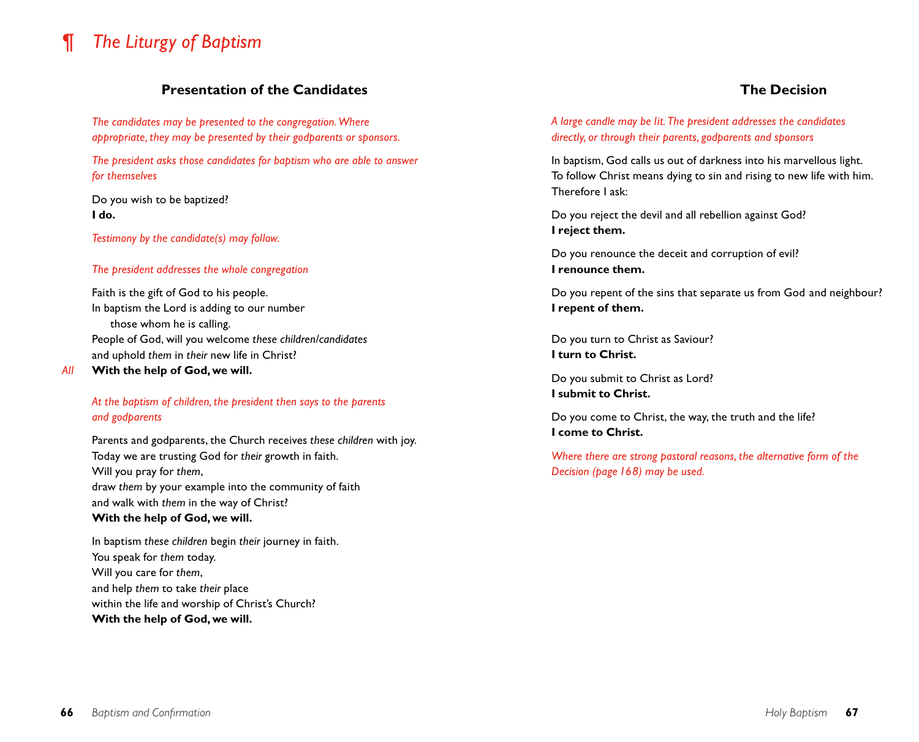# ¶ *The Liturgy of Baptism*

## **Presentation of the Candidates**

*The candidates may be presented to the congregation. Where appropriate, they may be presented by their godparents or sponsors.*

*The president asks those candidates for baptism who are able to answer for themselves*

Do you wish to be baptized? **I do.**

*Testimony by the candidate(s) may follow.*

### *The president addresses the whole congregation*

Faith is the gift of God to his people. In baptism the Lord is adding to our number those whom he is calling. People of God, will you welcome *these children/candidates* and uphold *them* in *their* new life in Christ?

*All* **With the help of God, we will.**

### *At the baptism of children, the president then says to the parents and godparents*

Parents and godparents, the Church receives *these children* with joy. Today we are trusting God for *their* growth in faith. Will you pray for *them*, draw *them* by your example into the community of faith and walk with *them* in the way of Christ? **With the help of God, we will.**

In baptism *these children* begin *their* journey in faith. You speak for *them* today. Will you care for *them*, and help *them* to take *their* place within the life and worship of Christ's Church? **With the help of God, we will.**

*A large candle may be lit. The president addresses the candidates directly, or through their parents, godparents and sponsors* 

In baptism, God calls us out of darkness into his marvellous light. To follow Christ means dying to sin and rising to new life with him. Therefore I ask:

Do you reject the devil and all rebellion against God? **I reject them.**

Do you renounce the deceit and corruption of evil? **I renounce them.**

Do you repent of the sins that separate us from God and neighbour? **I repent of them.**

Do you turn to Christ as Saviour? **I turn to Christ.**

Do you submit to Christ as Lord? **I submit to Christ.**

Do you come to Christ, the way, the truth and the life? **I come to Christ.**

*Where there are strong pastoral reasons, the alternative form of the Decision (page 168) may be used.*

## **The Decision**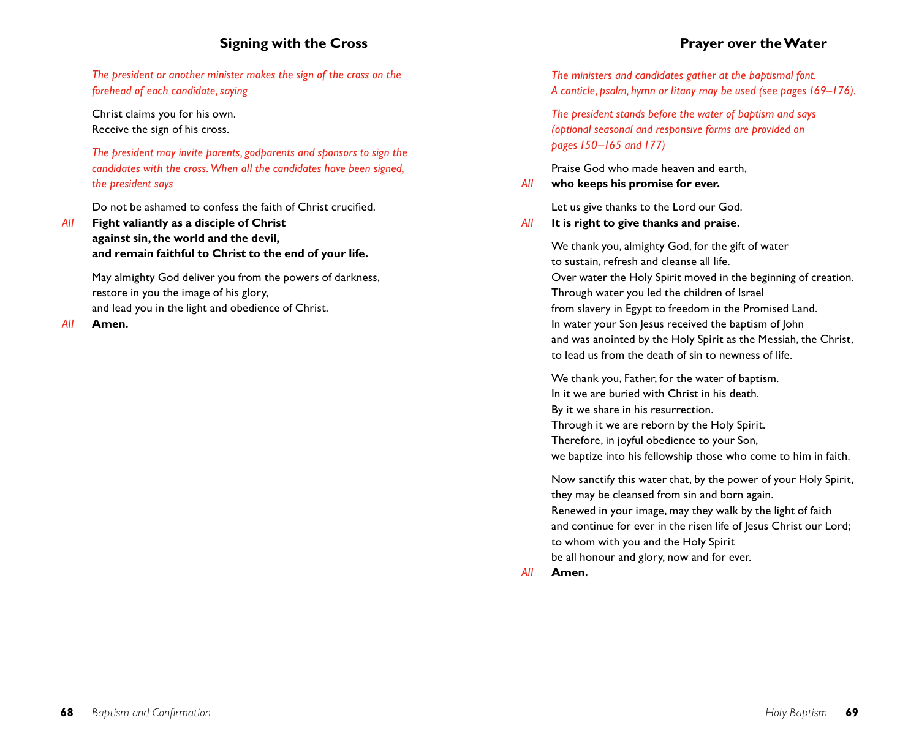# **Signing with the Cross**

### **Prayer over the Water**

*The president or another minister makes the sign of the cross on the forehead of each candidate, saying* 

Christ claims you for his own. Receive the sign of his cross.

*The president may invite parents, godparents and sponsors to sign the candidates with the cross. When all the candidates have been signed, the president says* 

Do not be ashamed to confess the faith of Christ crucified.

*All* **Fight valiantly as a disciple of Christ against sin, the world and the devil, and remain faithful to Christ to the end of your life.**

May almighty God deliver you from the powers of darkness, restore in you the image of his glory, and lead you in the light and obedience of Christ.

*All* **Amen.**

*The ministers and candidates gather at the baptismal font. A canticle, psalm, hymn or litany may be used (see pages 169–176).*

*The president stands before the water of baptism and says (optional seasonal and responsive forms are provided on pages 150–165 and 177)*

Praise God who made heaven and earth,

*All* **who keeps his promise for ever.**

Let us give thanks to the Lord our God.

*All* **It is right to give thanks and praise.**

We thank you, almighty God, for the gift of water to sustain, refresh and cleanse all life. Over water the Holy Spirit moved in the beginning of creation. Through water you led the children of Israel from slavery in Egypt to freedom in the Promised Land. In water your Son Jesus received the baptism of John and was anointed by the Holy Spirit as the Messiah, the Christ, to lead us from the death of sin to newness of life.

We thank you, Father, for the water of baptism. In it we are buried with Christ in his death. By it we share in his resurrection. Through it we are reborn by the Holy Spirit. Therefore, in joyful obedience to your Son, we baptize into his fellowship those who come to him in faith.

Now sanctify this water that, by the power of your Holy Spirit, they may be cleansed from sin and born again. Renewed in your image, may they walk by the light of faith and continue for ever in the risen life of Jesus Christ our Lord; to whom with you and the Holy Spirit be all honour and glory, now and for ever.

*All* **Amen.**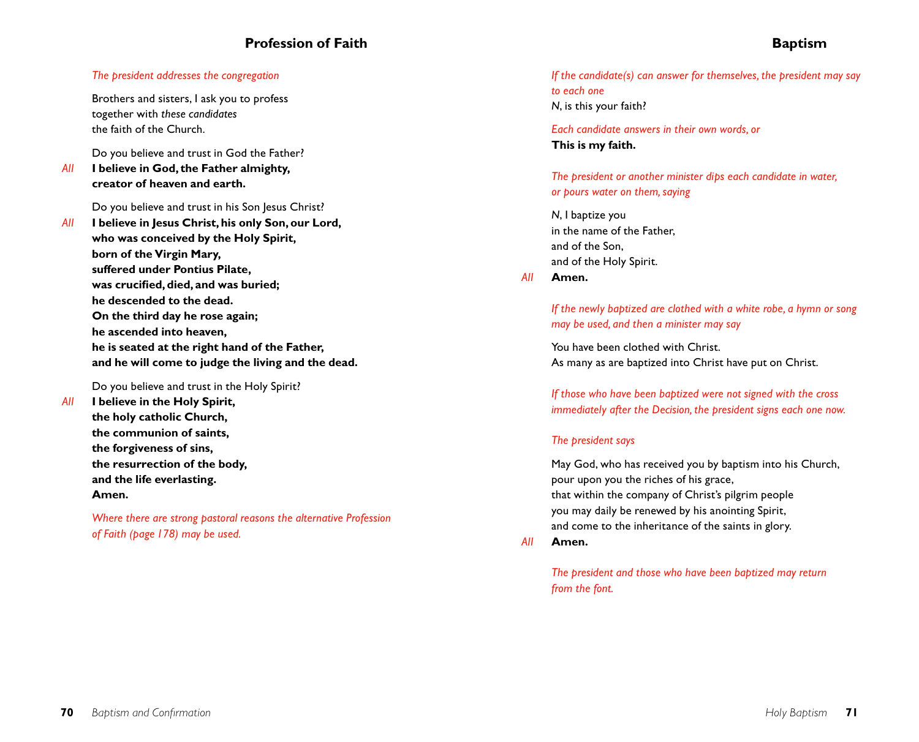# **Profession of Faith**

### *The president addresses the congregation*

Brothers and sisters, I ask you to profess together with *these candidates* the faith of the Church.

Do you believe and trust in God the Father?

*All* **I believe in God, the Father almighty, creator of heaven and earth.**

Do you believe and trust in his Son Jesus Christ?

*All* **I believe in Jesus Christ, his only Son, our Lord, who was conceived by the Holy Spirit, born of the Virgin Mary, suffered under Pontius Pilate, was crucified, died, and was buried; he descended to the dead. On the third day he rose again; he ascended into heaven, he is seated at the right hand of the Father, and he will come to judge the living and the dead.**

Do you believe and trust in the Holy Spirit?

*All* **I believe in the Holy Spirit, the holy catholic Church, the communion of saints, the forgiveness of sins, the resurrection of the body, and the life everlasting. Amen.**

> *Where there are strong pastoral reasons the alternative Profession of Faith (page 178) may be used.*

*If the candidate(s) can answer for themselves, the president may say to each one N*, is this your faith?

*Each candidate answers in their own words, or* **This is my faith.**

*The president or another minister dips each candidate in water, or pours water on them, saying* 

*N*, I baptize you in the name of the Father, and of the Son, and of the Holy Spirit.

### *All* **Amen.**

*If the newly baptized are clothed with a white robe, a hymn or song may be used, and then a minister may say* 

You have been clothed with Christ. As many as are baptized into Christ have put on Christ.

*If those who have been baptized were not signed with the cross immediately after the Decision, the president signs each one now.*

### *The president says*

May God, who has received you by baptism into his Church, pour upon you the riches of his grace, that within the company of Christ's pilgrim people you may daily be renewed by his anointing Spirit, and come to the inheritance of the saints in glory.

*All* **Amen.**

*The president and those who have been baptized may return from the font.*

## **Baptism**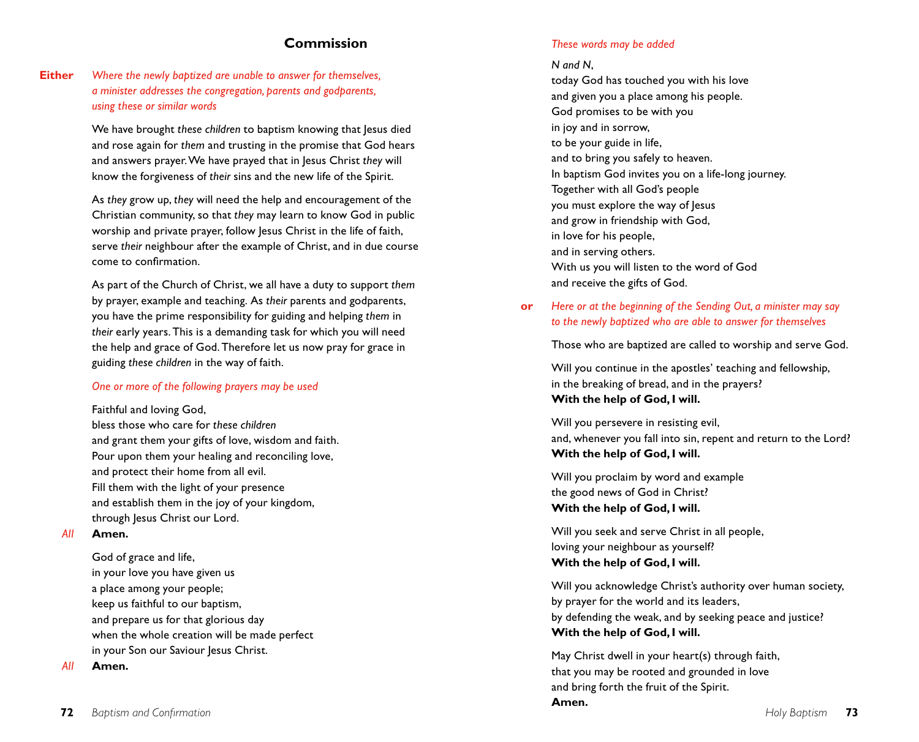### **Commission**

### **Either** *Where the newly baptized are unable to answer for themselves, a minister addresses the congregation, parents and godparents, using these or similar words*

We have brought *these children* to baptism knowing that Jesus died and rose again for *them* and trusting in the promise that God hears and answers prayer.We have prayed that in Jesus Christ *they* will know the forgiveness of *their* sins and the new life of the Spirit.

As *they* grow up, *they* will need the help and encouragement of the Christian community, so that *they* may learn to know God in public worship and private prayer, follow lesus Christ in the life of faith, serve *their* neighbour after the example of Christ, and in due course come to confirmation.

As part of the Church of Christ, we all have a duty to support *them* by prayer, example and teaching. As *their* parents and godparents, you have the prime responsibility for guiding and helping *them* in *their* early years. This is a demanding task for which you will need the help and grace of God. Therefore let us now pray for grace in guiding *these children* in the way of faith.

#### *One or more of the following prayers may be used*

Faithful and loving God, bless those who care for *these children* and grant them your gifts of love, wisdom and faith. Pour upon them your healing and reconciling love, and protect their home from all evil. Fill them with the light of your presence and establish them in the joy of your kingdom, through Jesus Christ our Lord.

### *All* **Amen.**

God of grace and life, in your love you have given us a place among your people; keep us faithful to our baptism, and prepare us for that glorious day when the whole creation will be made perfect in your Son our Saviour Jesus Christ.

### *All* **Amen.**

### *These words may be added*

### *N and N*,

today God has touched you with his love and given you a place among his people. God promises to be with you in joy and in sorrow, to be your guide in life, and to bring you safely to heaven. In baptism God invites you on a life-long journey. Together with all God's people you must explore the way of Jesus and grow in friendship with God, in love for his people, and in serving others. With us you will listen to the word of God and receive the gifts of God.

### **or** *Here or at the beginning of the Sending Out, a minister may say to the newly baptized who are able to answer for themselves*

Those who are baptized are called to worship and serve God.

Will you continue in the apostles' teaching and fellowship, in the breaking of bread, and in the prayers? **With the help of God, I will.**

Will you persevere in resisting evil, and, whenever you fall into sin, repent and return to the Lord? **With the help of God, I will.**

Will you proclaim by word and example the good news of God in Christ? **With the help of God, I will.**

Will you seek and serve Christ in all people, loving your neighbour as yourself? **With the help of God,I will.**

Will you acknowledge Christ's authority over human society, by prayer for the world and its leaders, by defending the weak, and by seeking peace and justice? **With the help of God,I will.**

May Christ dwell in your heart(s) through faith, that you may be rooted and grounded in love and bring forth the fruit of the Spirit. **Amen.**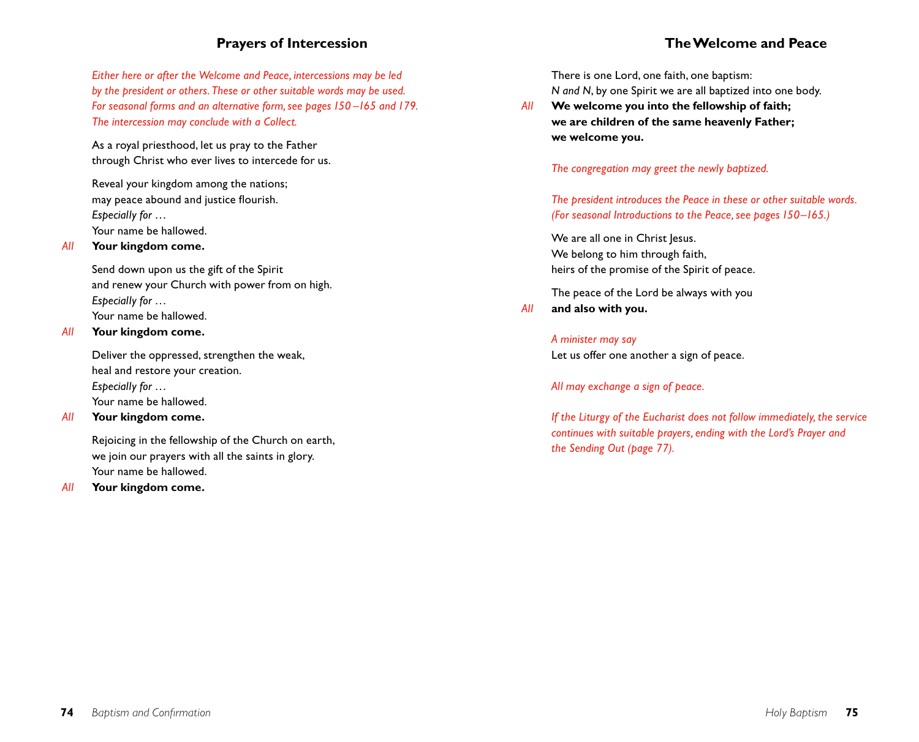# **Prayers of Intercession**

*Either here or after the Welcome and Peace, intercessions may be led by the president or others. These or other suitable words may be used. For seasonal forms and an alternative form, see pages 150 –165 and 179. The intercession may conclude with a Collect.*

As a royal priesthood, let us pray to the Father through Christ who ever lives to intercede for us.

Reveal your kingdom among the nations; may peace abound and justice flourish. *Especially for …*  Your name be hallowed.

### *All* **Your kingdom come.**

Send down upon us the gift of the Spirit and renew your Church with power from on high. *Especially for …* Your name be hallowed.

### *All* **Your kingdom come.**

Deliver the oppressed, strengthen the weak, heal and restore your creation. *Especially for …* Your name be hallowed.

### *All* **Your kingdom come.**

Rejoicing in the fellowship of the Church on earth, we join our prayers with all the saints in glory. Your name be hallowed.

### *All* **Your kingdom come.**

**The Welcome and Peace**

There is one Lord, one faith, one baptism: *N and N*, by one Spirit we are all baptized into one body.

*All* **We welcome you into the fellowship of faith; we are children of the same heavenly Father; we welcome you.**

*The congregation may greet the newly baptized.*

*The president introduces the Peace in these or other suitable words. (For seasonal Introductions to the Peace, see pages 150–165.)*

We are all one in Christ lesus. We belong to him through faith, heirs of the promise of the Spirit of peace.

The peace of the Lord be always with you

*All* **and also with you.**

### *A minister may say*

Let us offer one another a sign of peace.

*All may exchange a sign of peace.*

*If the Liturgy of the Eucharist does not follow immediately, the service continues with suitable prayers, ending with the Lord's Prayer and the Sending Out (page 77).*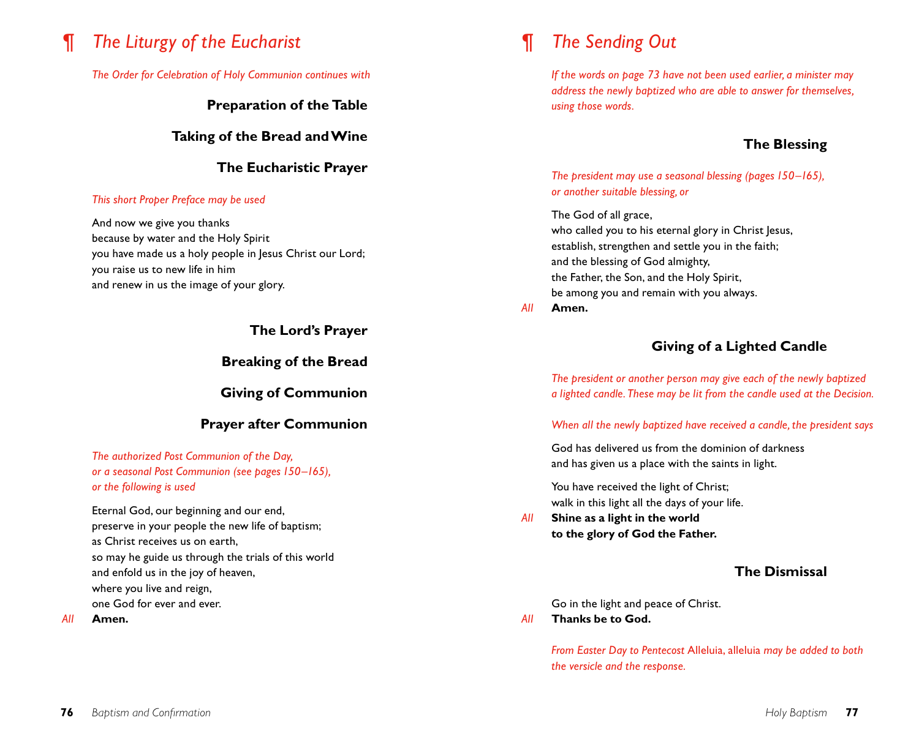# *¶ The Liturgy of the Eucharist*

*The Order for Celebration of Holy Communion continues with*

## **Preparation of the Table**

## **Taking of the Bread and Wine**

## **The Eucharistic Prayer**

### *This short Proper Preface may be used*

And now we give you thanks because by water and the Holy Spirit you have made us a holy people in Jesus Christ our Lord; you raise us to new life in him and renew in us the image of your glory.

## **The Lord's Prayer**

## **Breaking of the Bread**

## **Giving of Communion**

## **Prayer after Communion**

*The authorized Post Communion of the Day, or a seasonal Post Communion (see pages 150–165), or the following is used*

Eternal God, our beginning and our end, preserve in your people the new life of baptism; as Christ receives us on earth, so may he guide us through the trials of this world and enfold us in the joy of heaven, where you live and reign, one God for ever and ever.

### *All* **Amen.**

# ¶ *The Sending Out*

*If the words on page 73 have not been used earlier, a minister may address the newly baptized who are able to answer for themselves, using those words.*

## **The Blessing**

*The president may use a seasonal blessing (pages 150–165), or another suitable blessing, or*

The God of all grace, who called you to his eternal glory in Christ Jesus, establish, strengthen and settle you in the faith; and the blessing of God almighty, the Father, the Son, and the Holy Spirit, be among you and remain with you always.

*All* **Amen.**

# **Giving of a Lighted Candle**

*The president or another person may give each of the newly baptized a lighted candle. These may be lit from the candle used at the Decision.*

*When all the newly baptized have received a candle, the president says* 

God has delivered us from the dominion of darkness and has given us a place with the saints in light.

You have received the light of Christ; walk in this light all the days of your life.

*All* **Shine as a light in the world to the glory of God the Father.**

## **The Dismissal**

Go in the light and peace of Christ.

*All* **Thanks be to God.**

*From Easter Day to Pentecost* Alleluia, alleluia *may be added to both the versicle and the response.*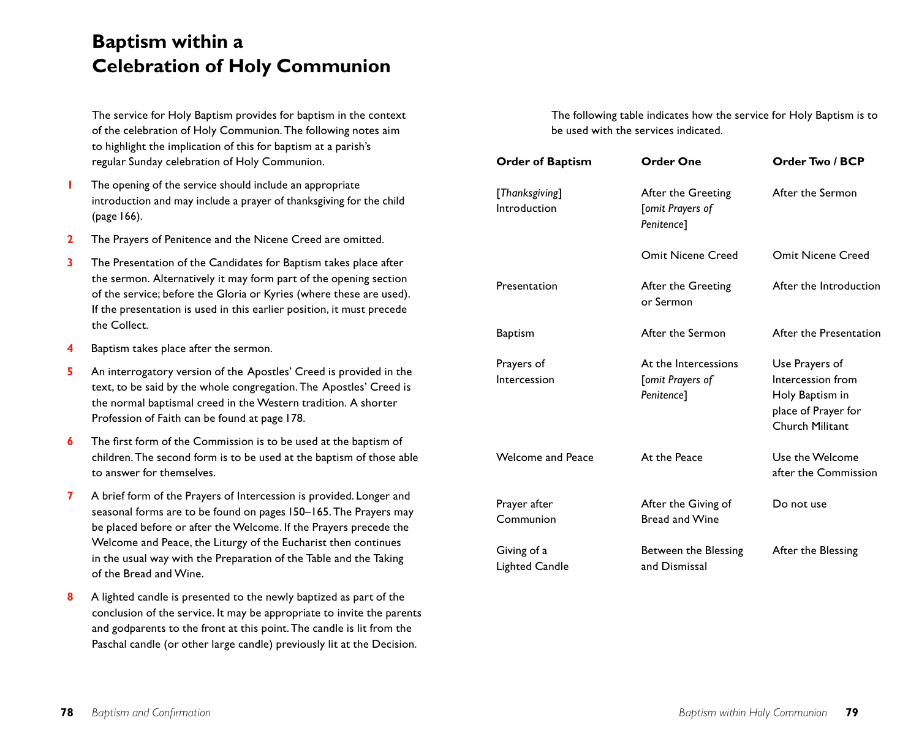# **Baptism within a Celebration of Holy Communion**

The service for Holy Baptism provides for baptism in the context of the celebration of Holy Communion. The following notes aim to highlight the implication of this for baptism at a parish's regular Sunday celebration of Holy Communion.

- **1** The opening of the service should include an appropriate introduction and may include a prayer of thanksgiving for the child (page 166).
- **2** The Prayers of Penitence and the Nicene Creed are omitted.
- **3** The Presentation of the Candidates for Baptism takes place after the sermon. Alternatively it may form part of the opening section of the service; before the Gloria or Kyries (where these are used). If the presentation is used in this earlier position, it must precede the Collect.
- **4** Baptism takes place after the sermon.
- **5** An interrogatory version of the Apostles' Creed is provided in the text, to be said by the whole congregation. The Apostles' Creed is the normal baptismal creed in the Western tradition. A shorter Profession of Faith can be found at page 178.
- **6** The first form of the Commission is to be used at the baptism of children.The second form is to be used at the baptism of those able to answer for themselves.
- **7** A brief form of the Prayers of Intercession is provided. Longer and seasonal forms are to be found on pages 150–165. The Prayers may be placed before or after the Welcome. If the Prayers precede the Welcome and Peace, the Liturgy of the Eucharist then continues in the usual way with the Preparation of the Table and the Taking of the Bread and Wine.
- **8** A lighted candle is presented to the newly baptized as part of the conclusion of the service. It may be appropriate to invite the parents and godparents to the front at this point. The candle is lit from the Paschal candle (or other large candle) previously lit at the Decision.

The following table indicates how the service for Holy Baptism is to be used with the services indicated.

| <b>Order of Baptism</b>        | Order One                                                     | Order Two / BCP                                                                                  |
|--------------------------------|---------------------------------------------------------------|--------------------------------------------------------------------------------------------------|
| [Thanksgiving]<br>Introduction | After the Greeting<br><b>Tomit Prayers of</b><br>Penitence]   | After the Sermon                                                                                 |
|                                | Omit Nicene Creed                                             | Omit Nicene Creed                                                                                |
| Presentation                   | After the Greeting<br>or Sermon                               | After the Introduction                                                                           |
| <b>Baptism</b>                 | After the Sermon                                              | After the Presentation                                                                           |
| Prayers of<br>Intercession     | At the Intercessions<br><b>Tomit Prayers of</b><br>Penitence] | Use Prayers of<br>Intercession from<br>Holy Baptism in<br>place of Prayer for<br>Church Militant |
| <b>Welcome and Peace</b>       | At the Peace                                                  | Use the Welcome<br>after the Commission                                                          |
| Prayer after<br>Communion      | After the Giving of<br><b>Bread and Wine</b>                  | Do not use                                                                                       |
| Giving of a<br>Lighted Candle  | Between the Blessing<br>and Dismissal                         | After the Blessing                                                                               |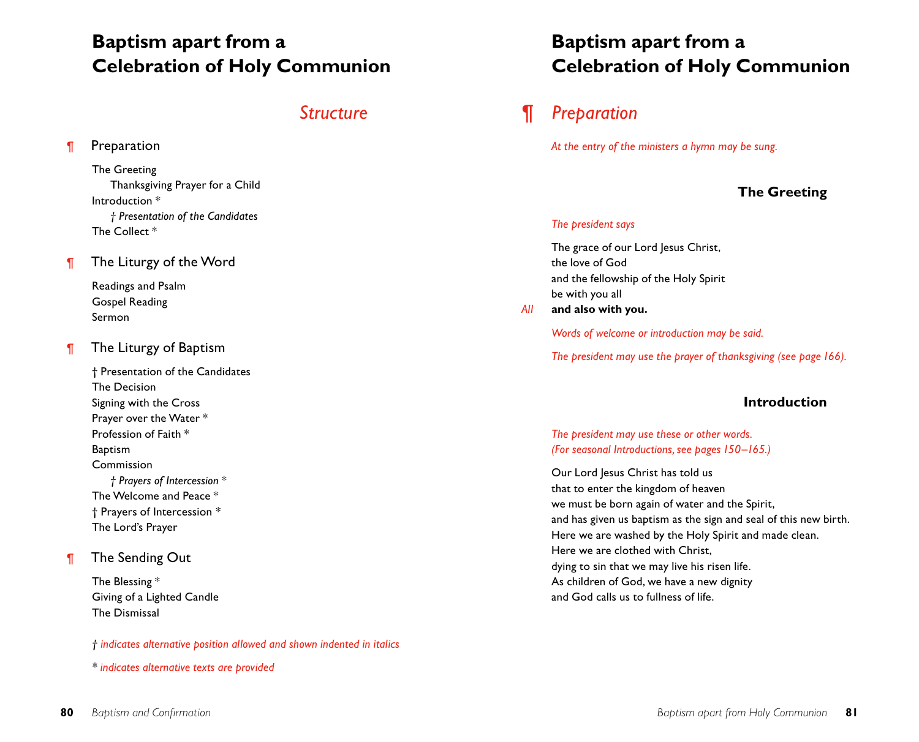# **Baptism apart from a Celebration of Holy Communion**

# *Structure*

¶ Preparation

The Greeting Thanksgiving Prayer for a Child Introduction \* *† Presentation of the Candidates* The Collect \*

### ¶ The Liturgy of the Word

Readings and Psalm Gospel Reading Sermon

### **The Liturgy of Baptism**

† Presentation of the Candidates The Decision Signing with the Cross Prayer over the Water \* Profession of Faith \* Baptism Commission *† Prayers of Intercession* \* The Welcome and Peace \* † Prayers of Intercession *\** The Lord's Prayer

### ¶ The Sending Out

The Blessing \* Giving of a Lighted Candle The Dismissal

*† indicates alternative position allowed and shown indented in italics*

*\* indicates alternative texts are provided*

# **Baptism apart from a Celebration of Holy Communion**

# ¶ *Preparation*

*At the entry of the ministers a hymn may be sung.*

# **The Greeting**

### *The president says*

The grace of our Lord Jesus Christ, the love of God and the fellowship of the Holy Spirit be with you all

*All* **and also with you.**

*Words of welcome or introduction may be said.*

*The president may use the prayer of thanksgiving (see page 166).*

### **Introduction**

### *The president may use these or other words. (For seasonal Introductions,see pages 150–165.)*

Our Lord Jesus Christ has told us that to enter the kingdom of heaven we must be born again of water and the Spirit, and has given us baptism as the sign and seal of this new birth. Here we are washed by the Holy Spirit and made clean. Here we are clothed with Christ, dying to sin that we may live his risen life. As children of God, we have a new dignity and God calls us to fullness of life.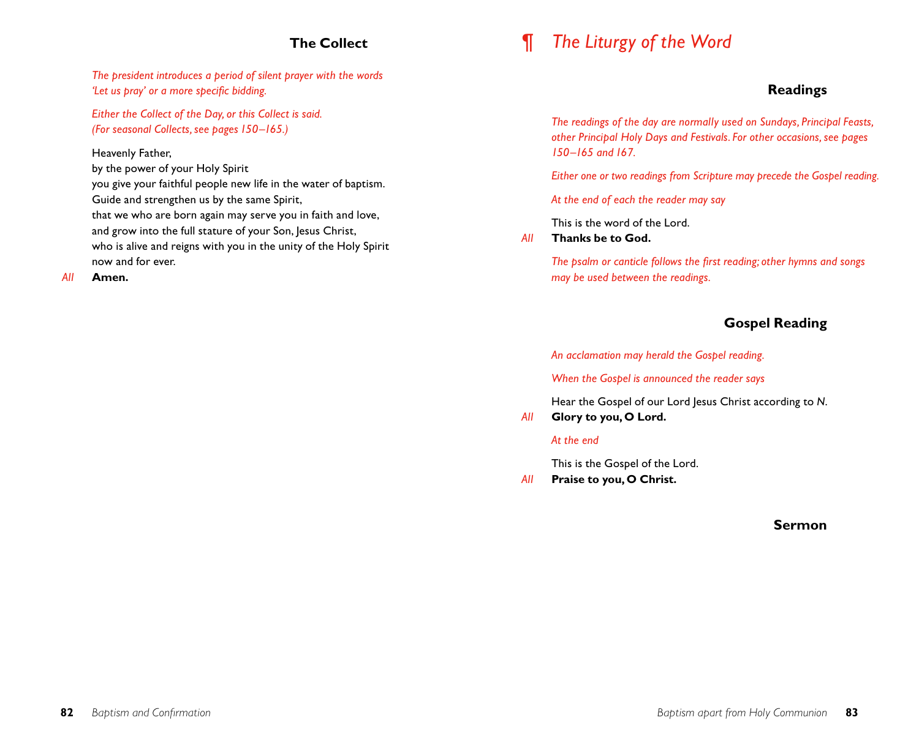# **The Collect**

*The president introduces a period of silent prayer with the words 'Let us pray' or a more specific bidding.*

*Either the Collect of the Day, or this Collect is said. (For seasonal Collects, see pages 150–165.)*

Heavenly Father,

by the power of your Holy Spirit you give your faithful people new life in the water of baptism. Guide and strengthen us by the same Spirit, that we who are born again may serve you in faith and love, and grow into the full stature of your Son, Jesus Christ, who is alive and reigns with you in the unity of the Holy Spirit now and for ever.

*All* **Amen.**

# ¶ *The Liturgy of the Word*

## **Readings**

*The readings of the day are normally used on Sundays, Principal Feasts, other Principal Holy Days and Festivals. For other occasions, see pages 150–165 and 167.*

*Either one or two readings from Scripture may precede the Gospel reading.*

*At the end of each the reader may say* 

This is the word of the Lord.

### *All* **Thanks be to God.**

*The psalm or canticle follows the first reading; other hymns and songs may be used between the readings.*

# **Gospel Reading**

*An acclamation may herald the Gospel reading.*

*When the Gospel is announced the reader says* 

Hear the Gospel of our Lord Jesus Christ according to N.

*All* **Glory to you, O Lord.**

### *At the end*

This is the Gospel of the Lord.

*All* **Praise to you, O Christ.**

### **Sermon**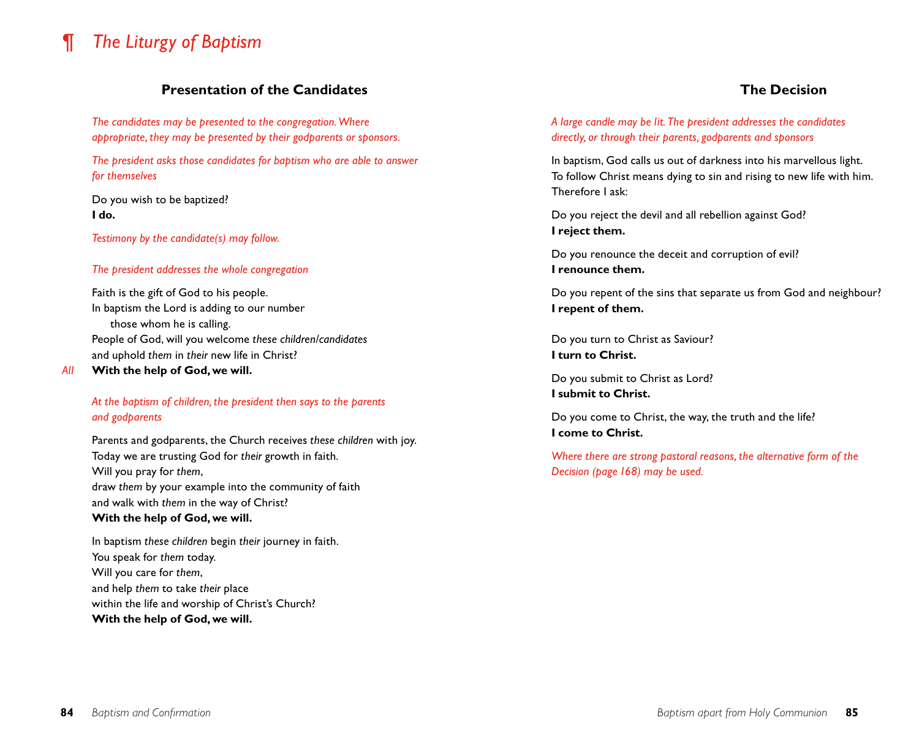# ¶ *The Liturgy of Baptism*

## **Presentation of the Candidates**

*The candidates may be presented to the congregation. Where appropriate, they may be presented by their godparents or sponsors.*

*The president asks those candidates for baptism who are able to answer for themselves*

Do you wish to be baptized? **I do.**

*Testimony by the candidate(s) may follow.*

### *The president addresses the whole congregation*

Faith is the gift of God to his people. In baptism the Lord is adding to our number those whom he is calling. People of God, will you welcome *these children/candidates* and uphold *them* in *their* new life in Christ?

*All* **With the help of God, we will.**

### *At the baptism of children, the president then says to the parents and godparents*

Parents and godparents, the Church receives *these children* with joy. Today we are trusting God for *their* growth in faith. Will you pray for *them*, draw *them* by your example into the community of faith and walk with *them* in the way of Christ? **With the help of God, we will.**

In baptism *these children* begin *their* journey in faith. You speak for *them* today. Will you care for *them*, and help *them* to take *their* place within the life and worship of Christ's Church? **With the help of God, we will.**

*A large candle may be lit. The president addresses the candidates directly, or through their parents, godparents and sponsors* 

In baptism, God calls us out of darkness into his marvellous light. To follow Christ means dying to sin and rising to new life with him. Therefore I ask:

Do you reject the devil and all rebellion against God? **I reject them.**

Do you renounce the deceit and corruption of evil? **I renounce them.**

Do you repent of the sins that separate us from God and neighbour? **I repent of them.**

Do you turn to Christ as Saviour? **I turn to Christ.**

Do you submit to Christ as Lord? **I submit to Christ.**

Do you come to Christ, the way, the truth and the life? **I come to Christ.**

*Where there are strong pastoral reasons, the alternative form of the Decision (page 168) may be used.*

# **The Decision**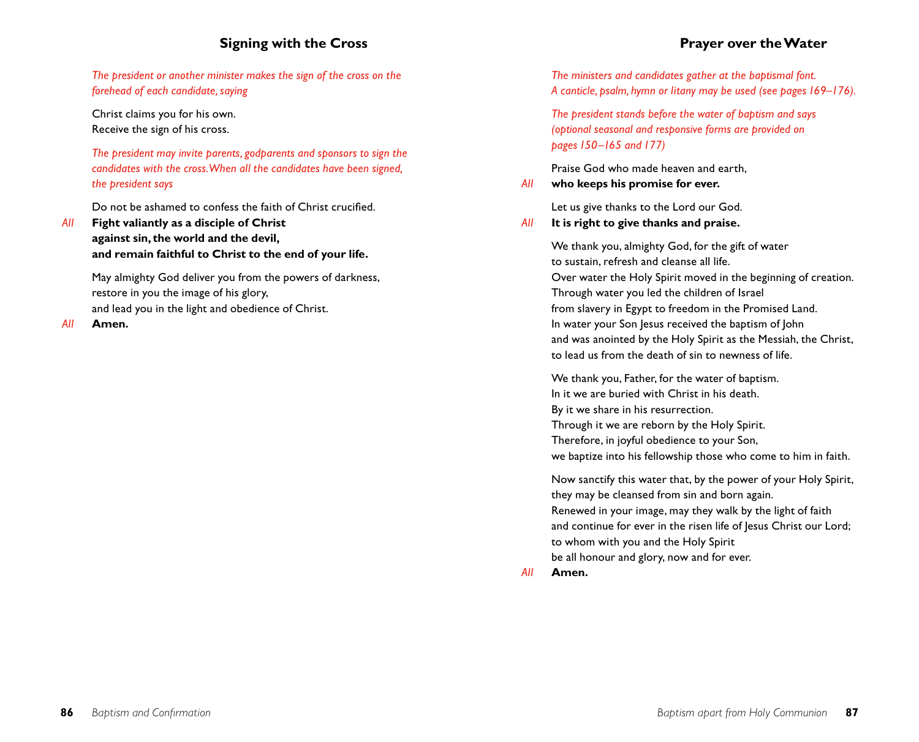# **Signing with the Cross**

### **Prayer over the Water**

*The president or another minister makes the sign of the cross on the forehead of each candidate, saying* 

Christ claims you for his own. Receive the sign of his cross.

*The president may invite parents, godparents and sponsors to sign the candidates with the cross.When all the candidates have been signed, the president says* 

Do not be ashamed to confess the faith of Christ crucified.

*All* **Fight valiantly as a disciple of Christ against sin, the world and the devil, and remain faithful to Christ to the end of your life.**

May almighty God deliver you from the powers of darkness, restore in you the image of his glory, and lead you in the light and obedience of Christ.

*All* **Amen.**

*The ministers and candidates gather at the baptismal font. A canticle, psalm, hymn or litany may be used (see pages 169–176).*

*The president stands before the water of baptism and says (optional seasonal and responsive forms are provided on pages 150–165 and 177)*

Praise God who made heaven and earth,

*All* **who keeps his promise for ever.**

Let us give thanks to the Lord our God.

*All* **It is right to give thanks and praise.**

We thank you, almighty God, for the gift of water to sustain, refresh and cleanse all life. Over water the Holy Spirit moved in the beginning of creation. Through water you led the children of Israel from slavery in Egypt to freedom in the Promised Land. In water your Son Jesus received the baptism of John and was anointed by the Holy Spirit as the Messiah, the Christ, to lead us from the death of sin to newness of life.

We thank you, Father, for the water of baptism. In it we are buried with Christ in his death. By it we share in his resurrection. Through it we are reborn by the Holy Spirit. Therefore, in joyful obedience to your Son, we baptize into his fellowship those who come to him in faith.

Now sanctify this water that, by the power of your Holy Spirit, they may be cleansed from sin and born again. Renewed in your image, may they walk by the light of faith and continue for ever in the risen life of Jesus Christ our Lord; to whom with you and the Holy Spirit be all honour and glory, now and for ever.

*All* **Amen.**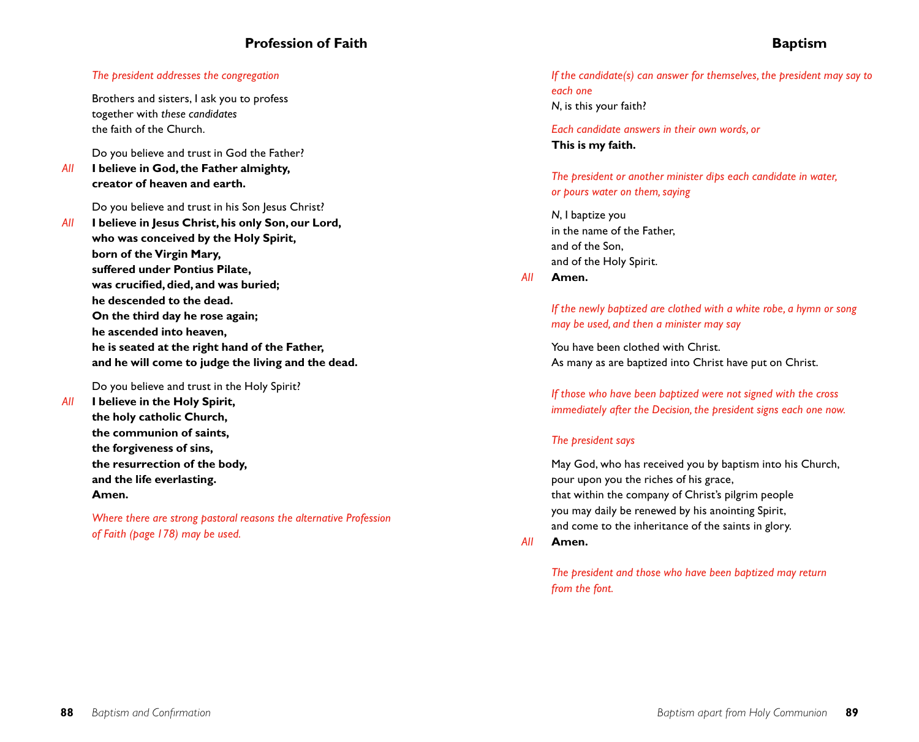# **Profession of Faith**

### *The president addresses the congregation*

Brothers and sisters, I ask you to profess together with *these candidates* the faith of the Church.

Do you believe and trust in God the Father?

*All* **I believe in God, the Father almighty, creator of heaven and earth.**

Do you believe and trust in his Son Jesus Christ?

*All* **I believe in Jesus Christ, his only Son, our Lord, who was conceived by the Holy Spirit, born of the Virgin Mary, suffered under Pontius Pilate, was crucified, died, and was buried; he descended to the dead. On the third day he rose again; he ascended into heaven, he is seated at the right hand of the Father, and he will come to judge the living and the dead.**

Do you believe and trust in the Holy Spirit?

*All* **I believe in the Holy Spirit, the holy catholic Church, the communion of saints, the forgiveness of sins, the resurrection of the body, and the life everlasting. Amen.**

> *Where there are strong pastoral reasons the alternative Profession of Faith (page 178) may be used.*

*If the candidate(s) can answer for themselves, the president may say to each one N*, is this your faith?

*Each candidate answers in their own words, or* **This is my faith.**

*The president or another minister dips each candidate in water, or pours water on them, saying* 

*N*, I baptize you in the name of the Father, and of the Son, and of the Holy Spirit.

### *All* **Amen.**

*If the newly baptized are clothed with a white robe, a hymn or song may be used, and then a minister may say* 

You have been clothed with Christ. As many as are baptized into Christ have put on Christ.

*If those who have been baptized were not signed with the cross immediately after the Decision, the president signs each one now.*

### *The president says*

May God, who has received you by baptism into his Church, pour upon you the riches of his grace, that within the company of Christ's pilgrim people you may daily be renewed by his anointing Spirit, and come to the inheritance of the saints in glory.

*All* **Amen.**

*The president and those who have been baptized may return from the font.*

## **Baptism**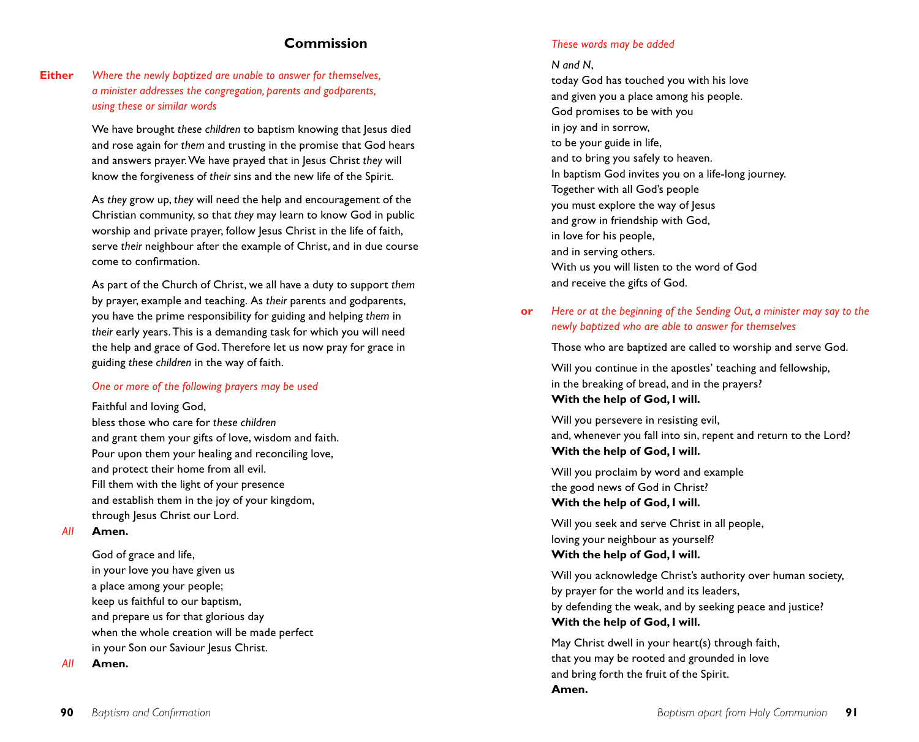### **Commission**

### **Either** *Where the newly baptized are unable to answer for themselves, a minister addresses the congregation, parents and godparents, using these or similar words*

We have brought *these children* to baptism knowing that Jesus died and rose again for *them* and trusting in the promise that God hears and answers prayer.We have prayed that in Jesus Christ *they* will know the forgiveness of *their* sins and the new life of the Spirit.

As *they* grow up, *they* will need the help and encouragement of the Christian community, so that *they* may learn to know God in public worship and private prayer, follow lesus Christ in the life of faith, serve *their* neighbour after the example of Christ, and in due course come to confirmation.

As part of the Church of Christ, we all have a duty to support *them* by prayer, example and teaching. As *their* parents and godparents, you have the prime responsibility for guiding and helping *them* in *their* early years. This is a demanding task for which you will need the help and grace of God. Therefore let us now pray for grace in guiding *these children* in the way of faith.

#### *One or more of the following prayers may be used*

Faithful and loving God, bless those who care for *these children* and grant them your gifts of love, wisdom and faith. Pour upon them your healing and reconciling love, and protect their home from all evil. Fill them with the light of your presence and establish them in the joy of your kingdom, through Jesus Christ our Lord.

#### *All* **Amen.**

God of grace and life, in your love you have given us a place among your people; keep us faithful to our baptism, and prepare us for that glorious day when the whole creation will be made perfect in your Son our Saviour Jesus Christ.

### *All* **Amen.**

#### *These words may be added*

#### *N and N*,

today God has touched you with his love and given you a place among his people. God promises to be with you in joy and in sorrow, to be your guide in life, and to bring you safely to heaven. In baptism God invites you on a life-long journey. Together with all God's people you must explore the way of Jesus and grow in friendship with God, in love for his people, and in serving others. With us you will listen to the word of God and receive the gifts of God.

### **or** *Here or at the beginning of the Sending Out, a minister may say to the newly baptized who are able to answer for themselves*

Those who are baptized are called to worship and serve God.

Will you continue in the apostles' teaching and fellowship, in the breaking of bread, and in the prayers? **With the help of God, I will.**

Will you persevere in resisting evil, and, whenever you fall into sin, repent and return to the Lord? **With the help of God, I will.**

Will you proclaim by word and example the good news of God in Christ? **With the help of God, I will.**

Will you seek and serve Christ in all people, loving your neighbour as yourself? **With the help of God,I will.**

Will you acknowledge Christ's authority over human society, by prayer for the world and its leaders, by defending the weak, and by seeking peace and justice? **With the help of God, I will.**

May Christ dwell in your heart(s) through faith, that you may be rooted and grounded in love and bring forth the fruit of the Spirit. **Amen.**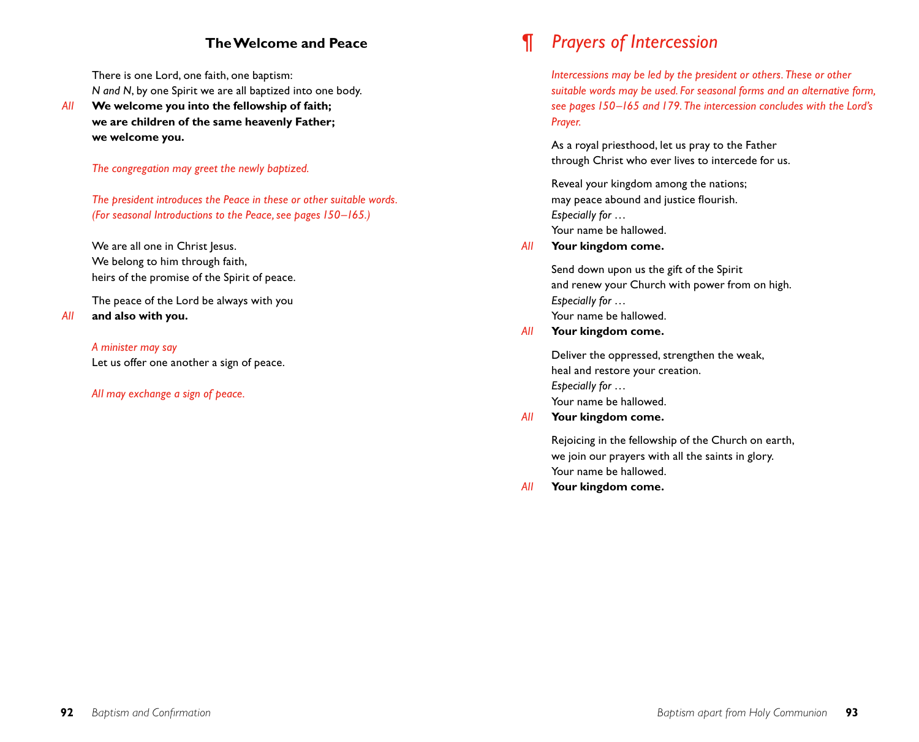# **The Welcome and Peace**

There is one Lord, one faith, one baptism: *N and N*, by one Spirit we are all baptized into one body.

*All* **We welcome you into the fellowship of faith; we are children of the same heavenly Father; we welcome you.**

*The congregation may greet the newly baptized.*

*The president introduces the Peace in these or other suitable words. (For seasonal Introductions to the Peace, see pages 150–165.)*

We are all one in Christ Jesus. We belong to him through faith, heirs of the promise of the Spirit of peace.

The peace of the Lord be always with you *All* **and also with you.**

### *A minister may say*

Let us offer one another a sign of peace.

### *All may exchange a sign of peace.*

# ¶ *Prayers of Intercession*

*Intercessions may be led by the president or others. These or other suitable words may be used. For seasonal forms and an alternative form, see pages 150–165 and 179. The intercession concludes with the Lord's Prayer.*

As a royal priesthood, let us pray to the Father through Christ who ever lives to intercede for us.

Reveal your kingdom among the nations; may peace abound and justice flourish. *Especially for …*  Your name be hallowed.

### *All* **Your kingdom come.**

Send down upon us the gift of the Spirit and renew your Church with power from on high. *Especially for …*  Your name be hallowed.

### *All* **Your kingdom come.**

Deliver the oppressed, strengthen the weak, heal and restore your creation. *Especially for …*  Your name be hallowed.

### *All* **Your kingdom come.**

Rejoicing in the fellowship of the Church on earth, we join our prayers with all the saints in glory. Your name be hallowed.

### *All* **Your kingdom come.**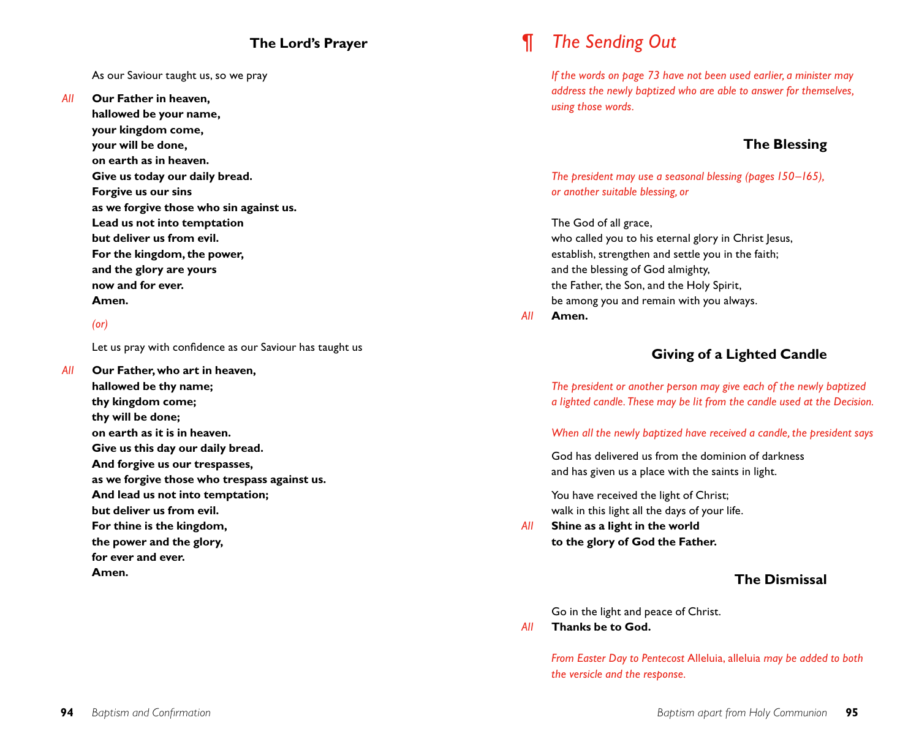# **The Lord's Prayer**

As our Saviour taught us, so we pray

*All* **Our Father in heaven,**

**hallowed be your name, your kingdom come, your will be done, on earth as in heaven. Give us today our daily bread. Forgive us our sins as we forgive those who sin against us. Lead us not into temptation but deliver us from evil. For the kingdom, the power, and the glory are yours now and for ever. Amen.**

### *(or)*

Let us pray with confidence as our Saviour has taught us

*All* **Our Father, who art in heaven,**

- **hallowed be thy name;**
- **thy kingdom come;**
- **thy will be done;**
- **on earth as it is in heaven.**
- **Give us this day our daily bread.**
- **And forgive us our trespasses,**
- **as we forgive those who trespass against us.**
- **And lead us not into temptation;**
- **but deliver us from evil.**
- **For thine is the kingdom,**
- **the power and the glory,**
- **for ever and ever.**
- **Amen.**

# ¶ *The Sending Out*

*If the words on page 73 have not been used earlier, a minister may address the newly baptized who are able to answer for themselves, using those words.*

# **The Blessing**

*The president may use a seasonal blessing (pages 150–165), or another suitable blessing, or*

The God of all grace, who called you to his eternal glory in Christ Jesus, establish, strengthen and settle you in the faith; and the blessing of God almighty, the Father, the Son, and the Holy Spirit, be among you and remain with you always.

*All* **Amen.**

# **Giving of a Lighted Candle**

*The president or another person may give each of the newly baptized a lighted candle. These may be lit from the candle used at the Decision.*

### *When all the newly baptized have received a candle, the president says*

God has delivered us from the dominion of darkness and has given us a place with the saints in light.

You have received the light of Christ; walk in this light all the days of your life.

*All* **Shine as a light in the world to the glory of God the Father.**

## **The Dismissal**

Go in the light and peace of Christ.

*All* **Thanks be to God.**

*From Easter Day to Pentecost* Alleluia, alleluia *may be added to both the versicle and the response.*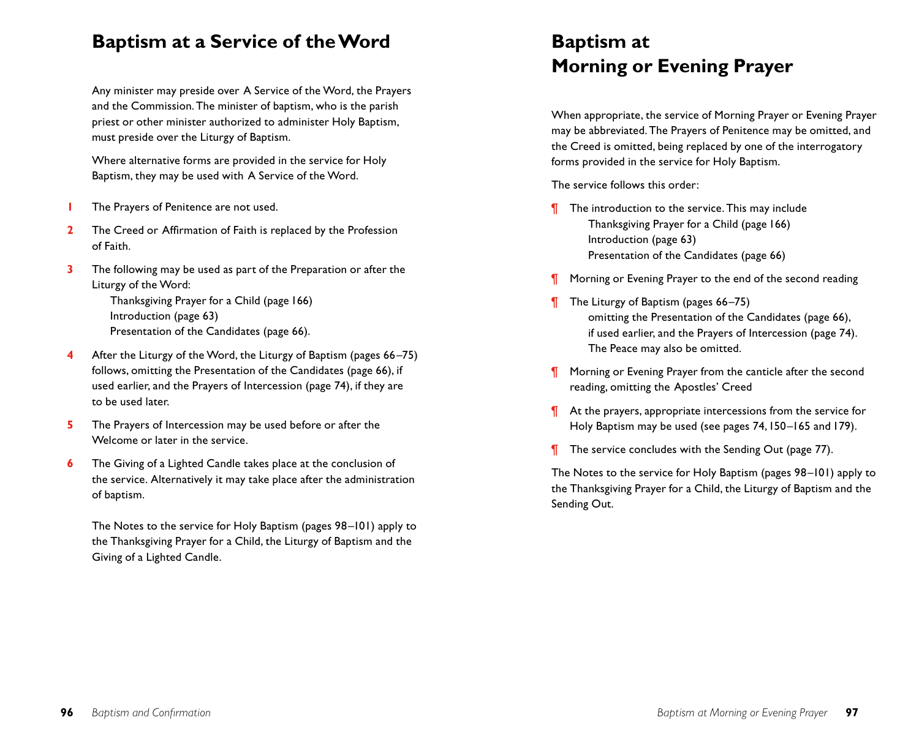# **Baptism at a Service of the Word**

Any minister may preside over A Service of the Word, the Prayers and the Commission. The minister of baptism, who is the parish priest or other minister authorized to administer Holy Baptism, must preside over the Liturgy of Baptism.

Where alternative forms are provided in the service for Holy Baptism, they may be used with A Service of the Word.

- **1** The Prayers of Penitence are not used.
- **2** The Creed or Affirmation of Faith is replaced by the Profession of Faith.
- **3** The following may be used as part of the Preparation or after the Liturgy of the Word:

Thanksgiving Prayer for a Child (page 166) Introduction (page 63) Presentation of the Candidates (page 66).

- **4** After the Liturgy of the Word, the Liturgy of Baptism (pages 66–75) follows, omitting the Presentation of the Candidates (page 66), if used earlier, and the Prayers of Intercession (page 74), if they are to be used later.
- **5** The Prayers of Intercession may be used before or after the Welcome or later in the service.
- **6** The Giving of a Lighted Candle takes place at the conclusion of the service. Alternatively it may take place after the administration of baptism.

The Notes to the service for Holy Baptism (pages 98–101) apply to the Thanksgiving Prayer for a Child, the Liturgy of Baptism and the Giving of a Lighted Candle.

# **Baptism at Morning or Evening Prayer**

When appropriate, the service of Morning Prayer or Evening Prayer may be abbreviated. The Prayers of Penitence may be omitted, and the Creed is omitted, being replaced by one of the interrogatory forms provided in the service for Holy Baptism.

The service follows this order:

- **The introduction to the service. This may include** Thanksgiving Prayer for a Child (page 166) Introduction (page 63) Presentation of the Candidates (page 66)
- **Morning or Evening Prayer to the end of the second reading**
- **The Liturgy of Baptism (pages 66–75)** omitting the Presentation of the Candidates (page 66), if used earlier, and the Prayers of Intercession (page 74). The Peace may also be omitted.
- **Morning or Evening Prayer from the canticle after the second** reading, omitting the Apostles' Creed
- ¶ At the prayers, appropriate intercessions from the service for Holy Baptism may be used (see pages 74,150–165 and 179).
- **The service concludes with the Sending Out (page 77).**

The Notes to the service for Holy Baptism (pages 98–101) apply to the Thanksgiving Prayer for a Child, the Liturgy of Baptism and the Sending Out.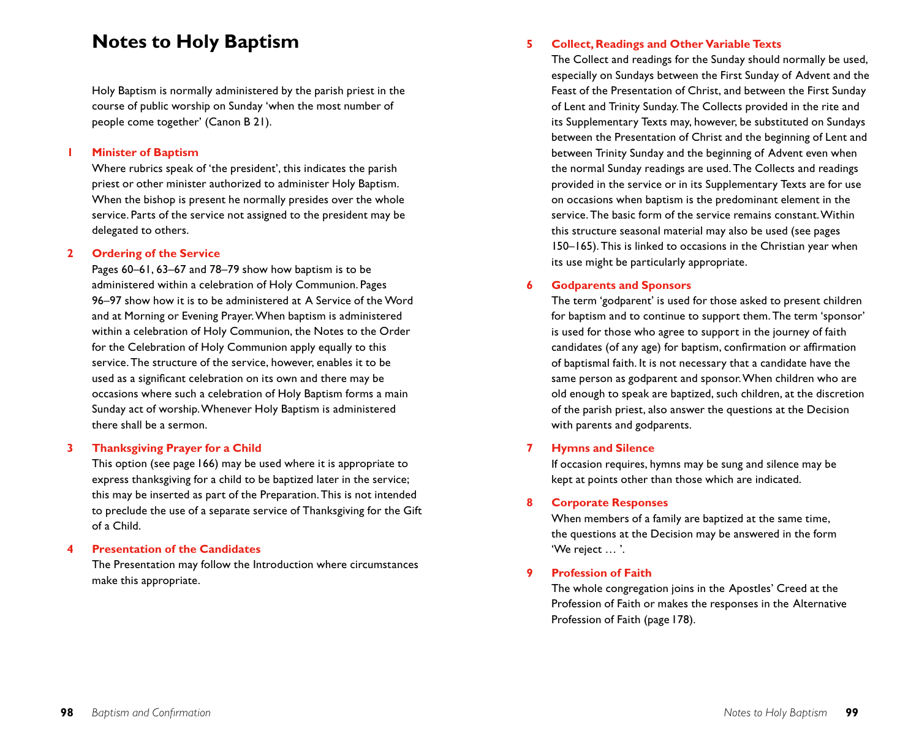# **Notes to Holy Baptism**

Holy Baptism is normally administered by the parish priest in the course of public worship on Sunday 'when the most number of people come together' (Canon B 21).

### **1 Minister of Baptism**

Where rubrics speak of 'the president', this indicates the parish priest or other minister authorized to administer Holy Baptism. When the bishop is present he normally presides over the whole service. Parts of the service not assigned to the president may be delegated to others.

### **2 Ordering of the Service**

Pages 60–61, 63–67 and 78–79 show how baptism is to be administered within a celebration of Holy Communion. Pages 96–97 show how it is to be administered at A Service of the Word and at Morning or Evening Prayer.When baptism is administered within a celebration of Holy Communion, the Notes to the Order for the Celebration of Holy Communion apply equally to this service. The structure of the service, however, enables it to be used as a significant celebration on its own and there may be occasions where such a celebration of Holy Baptism forms a main Sunday act of worship.Whenever Holy Baptism is administered there shall be a sermon.

### **3 Thanksgiving Prayer for a Child**

This option (see page 166) may be used where it is appropriate to express thanksgiving for a child to be baptized later in the service; this may be inserted as part of the Preparation. This is not intended to preclude the use of a separate service of Thanksgiving for the Gift of a Child.

### **4 Presentation of the Candidates**

The Presentation may follow the Introduction where circumstances make this appropriate.

### **5 Collect, Readings and Other Variable Texts**

The Collect and readings for the Sunday should normally be used, especially on Sundays between the First Sunday of Advent and the Feast of the Presentation of Christ, and between the First Sunday of Lent and Trinity Sunday. The Collects provided in the rite and its Supplementary Texts may, however, be substituted on Sundays between the Presentation of Christ and the beginning of Lent and between Trinity Sunday and the beginning of Advent even when the normal Sunday readings are used. The Collects and readings provided in the service or in its Supplementary Texts are for use on occasions when baptism is the predominant element in the service. The basic form of the service remains constant. Within this structure seasonal material may also be used (see pages 150–165). This is linked to occasions in the Christian year when its use might be particularly appropriate.

### **6 Godparents and Sponsors**

The term 'godparent' is used for those asked to present children for baptism and to continue to support them. The term 'sponsor' is used for those who agree to support in the journey of faith candidates (of any age) for baptism, confirmation or affirmation of baptismal faith. It is not necessary that a candidate have the same person as godparent and sponsor.When children who are old enough to speak are baptized, such children, at the discretion of the parish priest, also answer the questions at the Decision with parents and godparents.

### **7 Hymns and Silence**

If occasion requires, hymns may be sung and silence may be kept at points other than those which are indicated.

### **8 Corporate Responses**

When members of a family are baptized at the same time, the questions at the Decision may be answered in the form 'We reject … '.

### **9 Profession of Faith**

The whole congregation joins in the Apostles' Creed at the Profession of Faith or makes the responses in the Alternative Profession of Faith (page 178).